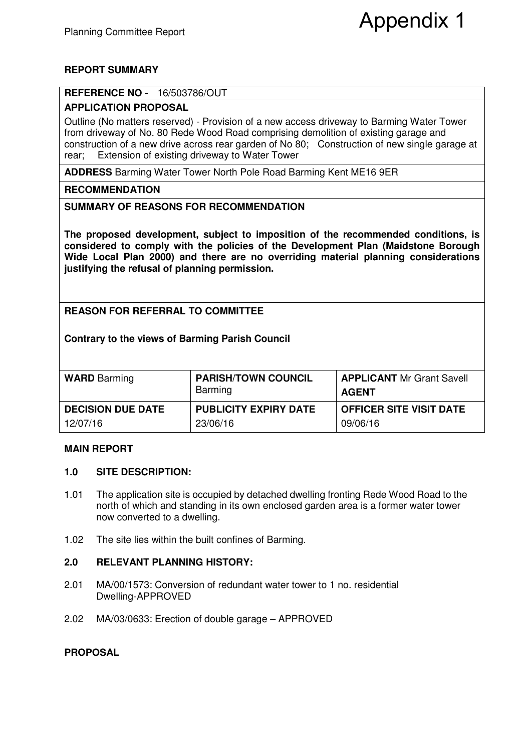# Appendix 1

# **REPORT SUMMARY**

### **REFERENCE NO -** 16/503786/OUT

## **APPLICATION PROPOSAL**

Outline (No matters reserved) - Provision of a new access driveway to Barming Water Tower from driveway of No. 80 Rede Wood Road comprising demolition of existing garage and construction of a new drive across rear garden of No 80; Construction of new single garage at rear; Extension of existing driveway to Water Tower

**ADDRESS** Barming Water Tower North Pole Road Barming Kent ME16 9ER

### **RECOMMENDATION**

### **SUMMARY OF REASONS FOR RECOMMENDATION**

**The proposed development, subject to imposition of the recommended conditions, is considered to comply with the policies of the Development Plan (Maidstone Borough Wide Local Plan 2000) and there are no overriding material planning considerations justifying the refusal of planning permission.** 

# **REASON FOR REFERRAL TO COMMITTEE**

### **Contrary to the views of Barming Parish Council**

| <b>WARD</b> Barming      | <b>PARISH/TOWN COUNCIL</b><br>Barming | <b>APPLICANT</b> Mr Grant Savell<br>AGENT |
|--------------------------|---------------------------------------|-------------------------------------------|
| <b>DECISION DUE DATE</b> | <b>PUBLICITY EXPIRY DATE</b>          | <b>OFFICER SITE VISIT DATE</b>            |
| 12/07/16                 | 23/06/16                              | 09/06/16                                  |

#### **MAIN REPORT**

#### **1.0 SITE DESCRIPTION:**

- 1.01 The application site is occupied by detached dwelling fronting Rede Wood Road to the north of which and standing in its own enclosed garden area is a former water tower now converted to a dwelling.
- 1.02 The site lies within the built confines of Barming.

#### **2.0 RELEVANT PLANNING HISTORY:**

- 2.01 MA/00/1573: Conversion of redundant water tower to 1 no. residential Dwelling-APPROVED
- 2.02 MA/03/0633: Erection of double garage APPROVED

#### **PROPOSAL**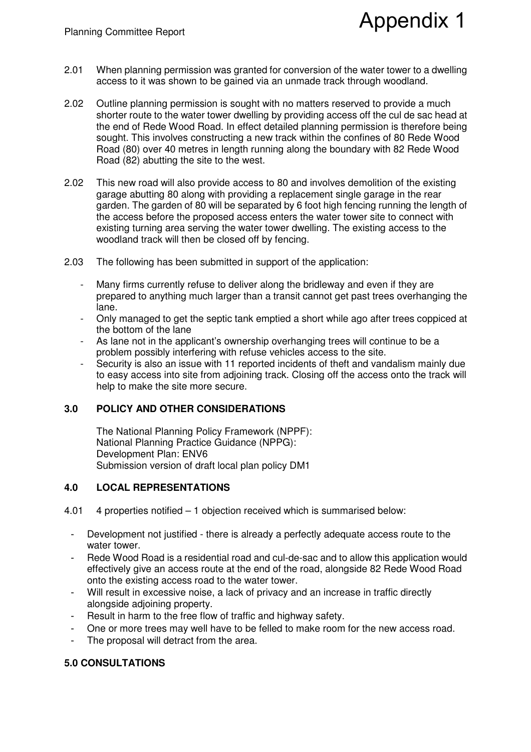2.01 When planning permission was granted for conversion of the water tower to a dwelling access to it was shown to be gained via an unmade track through woodland.

Appendix 1

- 2.02 Outline planning permission is sought with no matters reserved to provide a much shorter route to the water tower dwelling by providing access off the cul de sac head at the end of Rede Wood Road. In effect detailed planning permission is therefore being sought. This involves constructing a new track within the confines of 80 Rede Wood Road (80) over 40 metres in length running along the boundary with 82 Rede Wood Road (82) abutting the site to the west.
- 2.02 This new road will also provide access to 80 and involves demolition of the existing garage abutting 80 along with providing a replacement single garage in the rear garden. The garden of 80 will be separated by 6 foot high fencing running the length of the access before the proposed access enters the water tower site to connect with existing turning area serving the water tower dwelling. The existing access to the woodland track will then be closed off by fencing.
- 2.03 The following has been submitted in support of the application:
	- Many firms currently refuse to deliver along the bridleway and even if they are prepared to anything much larger than a transit cannot get past trees overhanging the lane.
	- Only managed to get the septic tank emptied a short while ago after trees coppiced at the bottom of the lane
	- As lane not in the applicant's ownership overhanging trees will continue to be a problem possibly interfering with refuse vehicles access to the site.
	- Security is also an issue with 11 reported incidents of theft and vandalism mainly due to easy access into site from adjoining track. Closing off the access onto the track will help to make the site more secure.

## **3.0 POLICY AND OTHER CONSIDERATIONS**

The National Planning Policy Framework (NPPF): National Planning Practice Guidance (NPPG): Development Plan: ENV6 Submission version of draft local plan policy DM1

## **4.0 LOCAL REPRESENTATIONS**

- 4.01 4 properties notified 1 objection received which is summarised below:
	- Development not justified there is already a perfectly adequate access route to the water tower.
	- Rede Wood Road is a residential road and cul-de-sac and to allow this application would effectively give an access route at the end of the road, alongside 82 Rede Wood Road onto the existing access road to the water tower.
	- Will result in excessive noise, a lack of privacy and an increase in traffic directly alongside adjoining property.
	- Result in harm to the free flow of traffic and highway safety.
	- One or more trees may well have to be felled to make room for the new access road.
	- The proposal will detract from the area.

## **5.0 CONSULTATIONS**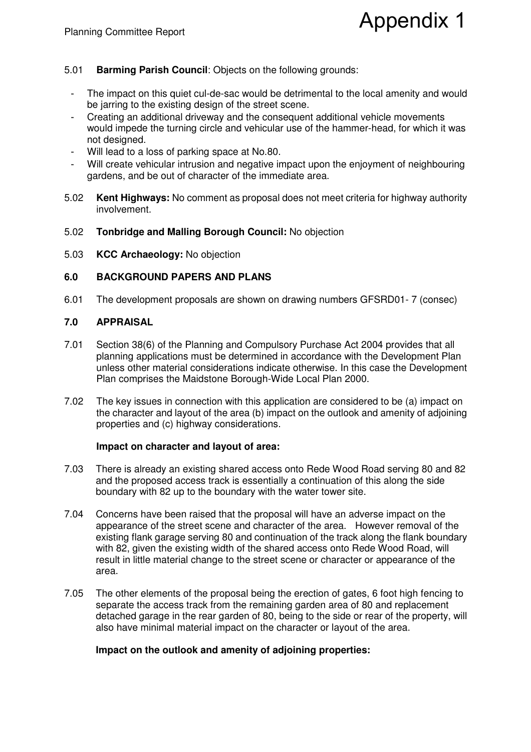# Appendix 1

# 5.01 **Barming Parish Council**: Objects on the following grounds:

- The impact on this quiet cul-de-sac would be detrimental to the local amenity and would be jarring to the existing design of the street scene.
- Creating an additional driveway and the consequent additional vehicle movements would impede the turning circle and vehicular use of the hammer-head, for which it was not designed.
- Will lead to a loss of parking space at No.80.
- Will create vehicular intrusion and negative impact upon the enjoyment of neighbouring gardens, and be out of character of the immediate area.
- 5.02 **Kent Highways:** No comment as proposal does not meet criteria for highway authority involvement.
- 5.02 **Tonbridge and Malling Borough Council:** No objection
- 5.03 **KCC Archaeology:** No objection

# **6.0 BACKGROUND PAPERS AND PLANS**

6.01 The development proposals are shown on drawing numbers GFSRD01- 7 (consec)

# **7.0 APPRAISAL**

- 7.01 Section 38(6) of the Planning and Compulsory Purchase Act 2004 provides that all planning applications must be determined in accordance with the Development Plan unless other material considerations indicate otherwise. In this case the Development Plan comprises the Maidstone Borough-Wide Local Plan 2000.
- 7.02 The key issues in connection with this application are considered to be (a) impact on the character and layout of the area (b) impact on the outlook and amenity of adjoining properties and (c) highway considerations.

# **Impact on character and layout of area:**

- 7.03 There is already an existing shared access onto Rede Wood Road serving 80 and 82 and the proposed access track is essentially a continuation of this along the side boundary with 82 up to the boundary with the water tower site.
- 7.04 Concerns have been raised that the proposal will have an adverse impact on the appearance of the street scene and character of the area. However removal of the existing flank garage serving 80 and continuation of the track along the flank boundary with 82, given the existing width of the shared access onto Rede Wood Road, will result in little material change to the street scene or character or appearance of the area.
- 7.05 The other elements of the proposal being the erection of gates, 6 foot high fencing to separate the access track from the remaining garden area of 80 and replacement detached garage in the rear garden of 80, being to the side or rear of the property, will also have minimal material impact on the character or layout of the area.

# **Impact on the outlook and amenity of adjoining properties:**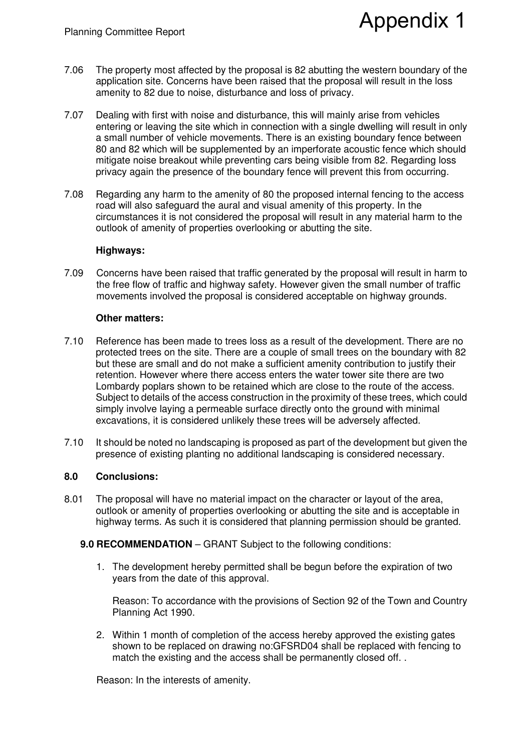7.06 The property most affected by the proposal is 82 abutting the western boundary of the application site. Concerns have been raised that the proposal will result in the loss amenity to 82 due to noise, disturbance and loss of privacy.

Appendix 1

- 7.07 Dealing with first with noise and disturbance, this will mainly arise from vehicles entering or leaving the site which in connection with a single dwelling will result in only a small number of vehicle movements. There is an existing boundary fence between 80 and 82 which will be supplemented by an imperforate acoustic fence which should mitigate noise breakout while preventing cars being visible from 82. Regarding loss privacy again the presence of the boundary fence will prevent this from occurring.
- 7.08 Regarding any harm to the amenity of 80 the proposed internal fencing to the access road will also safeguard the aural and visual amenity of this property. In the circumstances it is not considered the proposal will result in any material harm to the outlook of amenity of properties overlooking or abutting the site.

#### **Highways:**

7.09 Concerns have been raised that traffic generated by the proposal will result in harm to the free flow of traffic and highway safety. However given the small number of traffic movements involved the proposal is considered acceptable on highway grounds.

#### **Other matters:**

- 7.10 Reference has been made to trees loss as a result of the development. There are no protected trees on the site. There are a couple of small trees on the boundary with 82 but these are small and do not make a sufficient amenity contribution to justify their retention. However where there access enters the water tower site there are two Lombardy poplars shown to be retained which are close to the route of the access. Subject to details of the access construction in the proximity of these trees, which could simply involve laying a permeable surface directly onto the ground with minimal excavations, it is considered unlikely these trees will be adversely affected.
- 7.10 It should be noted no landscaping is proposed as part of the development but given the presence of existing planting no additional landscaping is considered necessary.

#### **8.0 Conclusions:**

- 8.01 The proposal will have no material impact on the character or layout of the area, outlook or amenity of properties overlooking or abutting the site and is acceptable in highway terms. As such it is considered that planning permission should be granted.
	- **9.0 RECOMMENDATION** GRANT Subject to the following conditions:
		- 1. The development hereby permitted shall be begun before the expiration of two years from the date of this approval.

Reason: To accordance with the provisions of Section 92 of the Town and Country Planning Act 1990.

2. Within 1 month of completion of the access hereby approved the existing gates shown to be replaced on drawing no:GFSRD04 shall be replaced with fencing to match the existing and the access shall be permanently closed off...

Reason: In the interests of amenity.